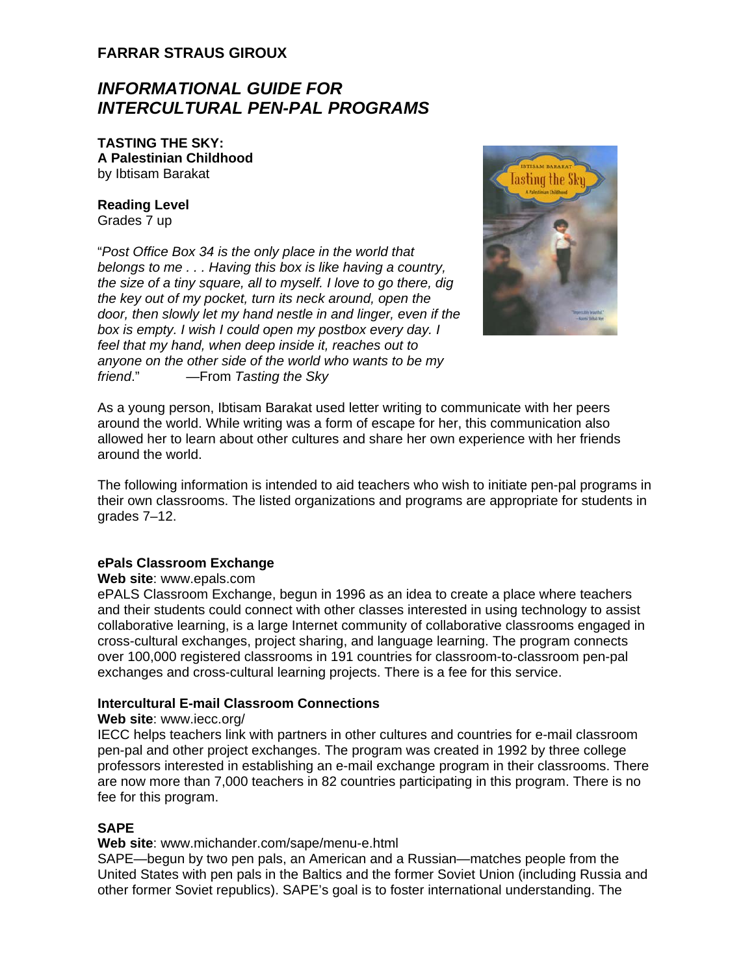## **FARRAR STRAUS GIROUX**

# *INFORMATIONAL GUIDE FOR INTERCULTURAL PEN-PAL PROGRAMS*

**TASTING THE SKY: A Palestinian Childhood**  by Ibtisam Barakat

## **Reading Level**

Grades 7 up

"*Post Office Box 34 is the only place in the world that belongs to me . . . Having this box is like having a country, the size of a tiny square, all to myself. I love to go there, dig the key out of my pocket, turn its neck around, open the door, then slowly let my hand nestle in and linger, even if the box is empty. I wish I could open my postbox every day. I feel that my hand, when deep inside it, reaches out to anyone on the other side of the world who wants to be my friend*." —From *Tasting the Sky*



As a young person, Ibtisam Barakat used letter writing to communicate with her peers around the world. While writing was a form of escape for her, this communication also allowed her to learn about other cultures and share her own experience with her friends around the world.

The following information is intended to aid teachers who wish to initiate pen-pal programs in their own classrooms. The listed organizations and programs are appropriate for students in grades 7–12.

## **ePals Classroom Exchange**

#### **Web site**: www.epals.com

ePALS Classroom Exchange, begun in 1996 as an idea to create a place where teachers and their students could connect with other classes interested in using technology to assist collaborative learning, is a large Internet community of collaborative classrooms engaged in cross-cultural exchanges, project sharing, and language learning. The program connects over 100,000 registered classrooms in 191 countries for classroom-to-classroom pen-pal exchanges and cross-cultural learning projects. There is a fee for this service.

## **Intercultural E-mail Classroom Connections**

#### **Web site**: www.iecc.org/

IECC helps teachers link with partners in other cultures and countries for e-mail classroom pen-pal and other project exchanges. The program was created in 1992 by three college professors interested in establishing an e-mail exchange program in their classrooms. There are now more than 7,000 teachers in 82 countries participating in this program. There is no fee for this program.

## **SAPE**

#### **Web site**: www.michander.com/sape/menu-e.html

SAPE—begun by two pen pals, an American and a Russian—matches people from the United States with pen pals in the Baltics and the former Soviet Union (including Russia and other former Soviet republics). SAPE's goal is to foster international understanding. The